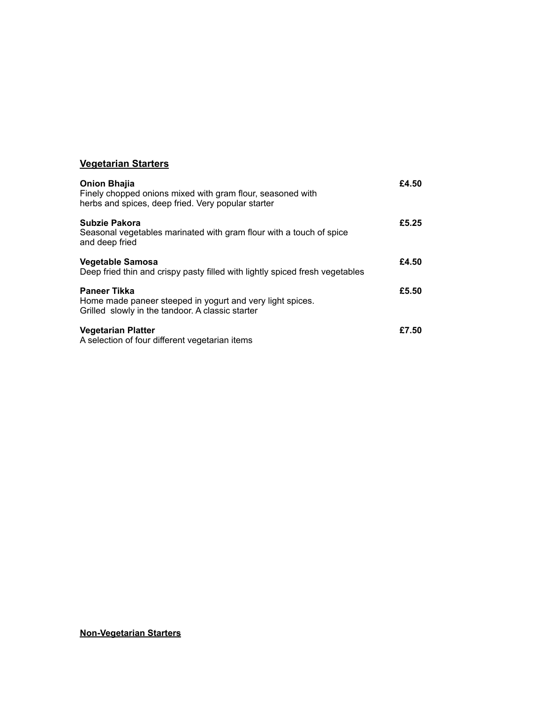# **Vegetarian Starters**

| <b>Onion Bhajia</b><br>Finely chopped onions mixed with gram flour, seasoned with<br>herbs and spices, deep fried. Very popular starter | £4.50 |
|-----------------------------------------------------------------------------------------------------------------------------------------|-------|
| Subzie Pakora<br>Seasonal vegetables marinated with gram flour with a touch of spice<br>and deep fried                                  | £5.25 |
| Vegetable Samosa<br>Deep fried thin and crispy pasty filled with lightly spiced fresh vegetables                                        | £4.50 |
| <b>Paneer Tikka</b><br>Home made paneer steeped in yogurt and very light spices.<br>Grilled slowly in the tandoor. A classic starter    | £5.50 |
| <b>Vegetarian Platter</b><br>A selection of four different vegetarian items                                                             | £7.50 |

#### **Non-Vegetarian Starters**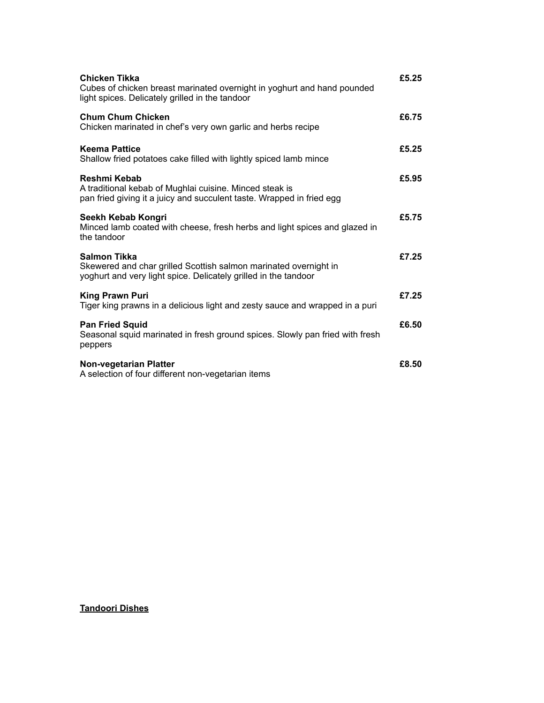| Chicken Tikka<br>Cubes of chicken breast marinated overnight in yoghurt and hand pounded<br>light spices. Delicately grilled in the tandoor         | £5.25 |
|-----------------------------------------------------------------------------------------------------------------------------------------------------|-------|
| <b>Chum Chum Chicken</b><br>Chicken marinated in chef's very own garlic and herbs recipe                                                            | £6.75 |
| <b>Keema Pattice</b><br>Shallow fried potatoes cake filled with lightly spiced lamb mince                                                           | £5.25 |
| Reshmi Kebab<br>A traditional kebab of Mughlai cuisine. Minced steak is<br>pan fried giving it a juicy and succulent taste. Wrapped in fried egg    | £5.95 |
| Seekh Kebab Kongri<br>Minced lamb coated with cheese, fresh herbs and light spices and glazed in<br>the tandoor                                     | £5.75 |
| Salmon Tikka<br>Skewered and char grilled Scottish salmon marinated overnight in<br>yoghurt and very light spice. Delicately grilled in the tandoor | £7.25 |
| <b>King Prawn Puri</b><br>Tiger king prawns in a delicious light and zesty sauce and wrapped in a puri                                              | £7.25 |
| <b>Pan Fried Squid</b><br>Seasonal squid marinated in fresh ground spices. Slowly pan fried with fresh<br>peppers                                   | £6.50 |
| Non-vegetarian Platter<br>A selection of four different non-vegetarian items                                                                        | £8.50 |

**Tandoori Dishes**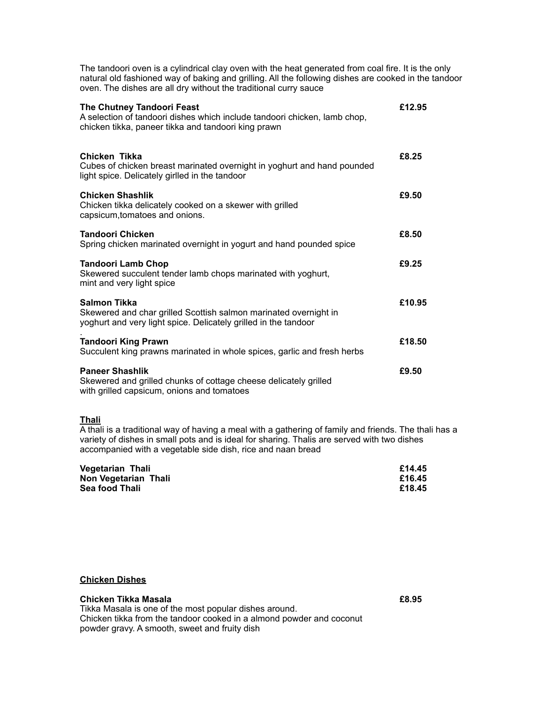| The tandoori oven is a cylindrical clay oven with the heat generated from coal fire. It is the only<br>natural old fashioned way of baking and grilling. All the following dishes are cooked in the tandoor<br>oven. The dishes are all dry without the traditional curry sauce |        |
|---------------------------------------------------------------------------------------------------------------------------------------------------------------------------------------------------------------------------------------------------------------------------------|--------|
| The Chutney Tandoori Feast<br>A selection of tandoori dishes which include tandoori chicken, lamb chop,<br>chicken tikka, paneer tikka and tandoori king prawn                                                                                                                  | £12.95 |
| Chicken Tikka<br>Cubes of chicken breast marinated overnight in yoghurt and hand pounded<br>light spice. Delicately girlled in the tandoor                                                                                                                                      | £8.25  |
| <b>Chicken Shashlik</b><br>Chicken tikka delicately cooked on a skewer with grilled<br>capsicum, tomatoes and onions.                                                                                                                                                           | £9.50  |
| <b>Tandoori Chicken</b><br>Spring chicken marinated overnight in yogurt and hand pounded spice                                                                                                                                                                                  | £8.50  |
| <b>Tandoori Lamb Chop</b><br>Skewered succulent tender lamb chops marinated with yoghurt,<br>mint and very light spice                                                                                                                                                          | £9.25  |
| <b>Salmon Tikka</b><br>Skewered and char grilled Scottish salmon marinated overnight in<br>yoghurt and very light spice. Delicately grilled in the tandoor                                                                                                                      | £10.95 |
| <b>Tandoori King Prawn</b><br>Succulent king prawns marinated in whole spices, garlic and fresh herbs                                                                                                                                                                           | £18.50 |
| <b>Paneer Shashlik</b><br>Skewered and grilled chunks of cottage cheese delicately grilled<br>with grilled capsicum, onions and tomatoes                                                                                                                                        | £9.50  |

**Thali** 

A thali is a traditional way of having a meal with a gathering of family and friends. The thali has a variety of dishes in small pots and is ideal for sharing. Thalis are served with two dishes accompanied with a vegetable side dish, rice and naan bread

| <b>Vegetarian Thali</b> | £14.45 |
|-------------------------|--------|
| Non Vegetarian Thali    | £16.45 |
| Sea food Thali          | £18.45 |

#### **Chicken Dishes**

#### **Chicken Tikka Masala £8.95**

Tikka Masala is one of the most popular dishes around. Chicken tikka from the tandoor cooked in a almond powder and coconut powder gravy. A smooth, sweet and fruity dish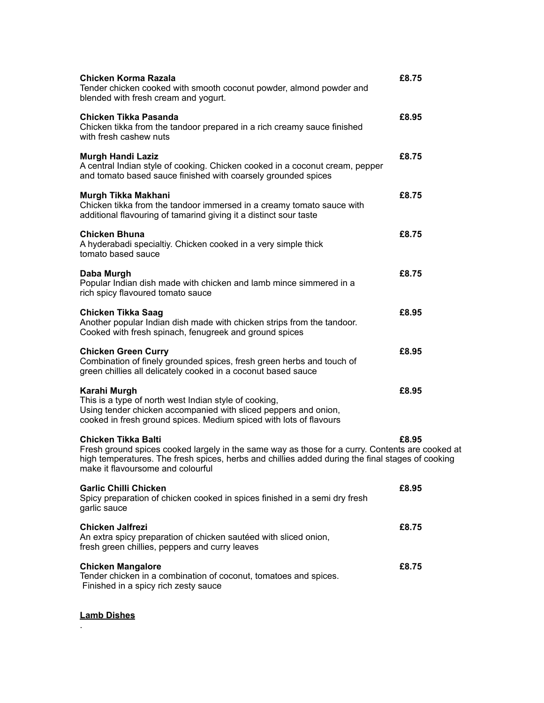| Chicken Korma Razala<br>Tender chicken cooked with smooth coconut powder, almond powder and<br>blended with fresh cream and yogurt.                                                                                                                             | £8.75 |
|-----------------------------------------------------------------------------------------------------------------------------------------------------------------------------------------------------------------------------------------------------------------|-------|
| Chicken Tikka Pasanda<br>Chicken tikka from the tandoor prepared in a rich creamy sauce finished<br>with fresh cashew nuts                                                                                                                                      | £8.95 |
| <b>Murgh Handi Laziz</b><br>A central Indian style of cooking. Chicken cooked in a coconut cream, pepper<br>and tomato based sauce finished with coarsely grounded spices                                                                                       | £8.75 |
| Murgh Tikka Makhani<br>Chicken tikka from the tandoor immersed in a creamy tomato sauce with<br>additional flavouring of tamarind giving it a distinct sour taste                                                                                               | £8.75 |
| Chicken Bhuna<br>A hyderabadi specialtiy. Chicken cooked in a very simple thick<br>tomato based sauce                                                                                                                                                           | £8.75 |
| Daba Murgh<br>Popular Indian dish made with chicken and lamb mince simmered in a<br>rich spicy flavoured tomato sauce                                                                                                                                           | £8.75 |
| Chicken Tikka Saag<br>Another popular Indian dish made with chicken strips from the tandoor.<br>Cooked with fresh spinach, fenugreek and ground spices                                                                                                          | £8.95 |
| <b>Chicken Green Curry</b><br>Combination of finely grounded spices, fresh green herbs and touch of<br>green chillies all delicately cooked in a coconut based sauce                                                                                            | £8.95 |
| Karahi Murgh<br>This is a type of north west Indian style of cooking,<br>Using tender chicken accompanied with sliced peppers and onion,<br>cooked in fresh ground spices. Medium spiced with lots of flavours                                                  | £8.95 |
| Chicken Tikka Balti<br>Fresh ground spices cooked largely in the same way as those for a curry. Contents are cooked at<br>high temperatures. The fresh spices, herbs and chillies added during the final stages of cooking<br>make it flavoursome and colourful | £8.95 |
| <b>Garlic Chilli Chicken</b><br>Spicy preparation of chicken cooked in spices finished in a semi dry fresh<br>garlic sauce                                                                                                                                      | £8.95 |
| Chicken Jalfrezi<br>An extra spicy preparation of chicken sautéed with sliced onion,<br>fresh green chillies, peppers and curry leaves                                                                                                                          | £8.75 |
| <b>Chicken Mangalore</b><br>Tender chicken in a combination of coconut, tomatoes and spices.<br>Finished in a spicy rich zesty sauce                                                                                                                            | £8.75 |
|                                                                                                                                                                                                                                                                 |       |

### **Lamb Dishes**

.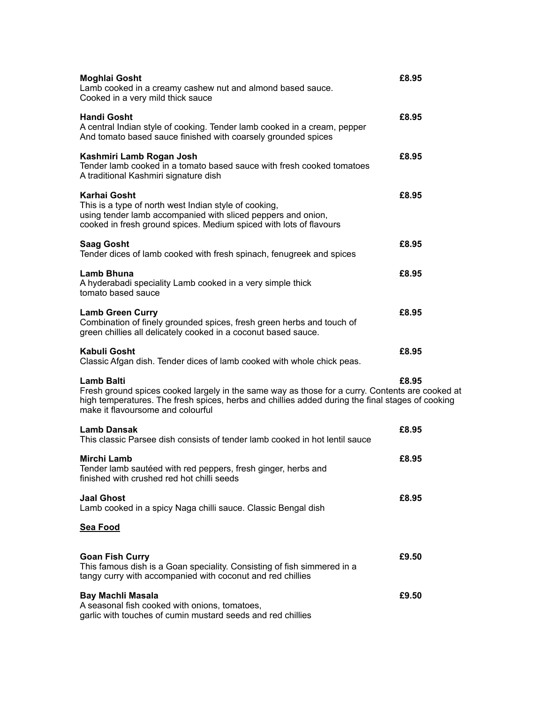| <b>Moghlai Gosht</b><br>Lamb cooked in a creamy cashew nut and almond based sauce.<br>Cooked in a very mild thick sauce                                                                                                                                       | £8.95 |
|---------------------------------------------------------------------------------------------------------------------------------------------------------------------------------------------------------------------------------------------------------------|-------|
| <b>Handi Gosht</b><br>A central Indian style of cooking. Tender lamb cooked in a cream, pepper<br>And tomato based sauce finished with coarsely grounded spices                                                                                               | £8.95 |
| Kashmiri Lamb Rogan Josh<br>Tender lamb cooked in a tomato based sauce with fresh cooked tomatoes<br>A traditional Kashmiri signature dish                                                                                                                    | £8.95 |
| <b>Karhai Gosht</b><br>This is a type of north west Indian style of cooking,<br>using tender lamb accompanied with sliced peppers and onion,<br>cooked in fresh ground spices. Medium spiced with lots of flavours                                            | £8.95 |
| <b>Saag Gosht</b><br>Tender dices of lamb cooked with fresh spinach, fenugreek and spices                                                                                                                                                                     | £8.95 |
| Lamb Bhuna<br>A hyderabadi speciality Lamb cooked in a very simple thick<br>tomato based sauce                                                                                                                                                                | £8.95 |
| <b>Lamb Green Curry</b><br>Combination of finely grounded spices, fresh green herbs and touch of<br>green chillies all delicately cooked in a coconut based sauce.                                                                                            | £8.95 |
| Kabuli Gosht<br>Classic Afgan dish. Tender dices of lamb cooked with whole chick peas.                                                                                                                                                                        | £8.95 |
| <b>Lamb Balti</b><br>Fresh ground spices cooked largely in the same way as those for a curry. Contents are cooked at<br>high temperatures. The fresh spices, herbs and chillies added during the final stages of cooking<br>make it flavoursome and colourful | £8.95 |
| <b>Lamb Dansak</b><br>This classic Parsee dish consists of tender lamb cooked in hot lentil sauce                                                                                                                                                             | £8.95 |
| Mirchi Lamb<br>Tender lamb sautéed with red peppers, fresh ginger, herbs and<br>finished with crushed red hot chilli seeds                                                                                                                                    | £8.95 |
| <b>Jaal Ghost</b><br>Lamb cooked in a spicy Naga chilli sauce. Classic Bengal dish                                                                                                                                                                            | £8.95 |
| <u>Sea Food</u>                                                                                                                                                                                                                                               |       |
| <b>Goan Fish Curry</b><br>This famous dish is a Goan speciality. Consisting of fish simmered in a<br>tangy curry with accompanied with coconut and red chillies                                                                                               | £9.50 |
| <b>Bay Machli Masala</b><br>A seasonal fish cooked with onions, tomatoes,<br>garlic with touches of cumin mustard seeds and red chillies                                                                                                                      | £9.50 |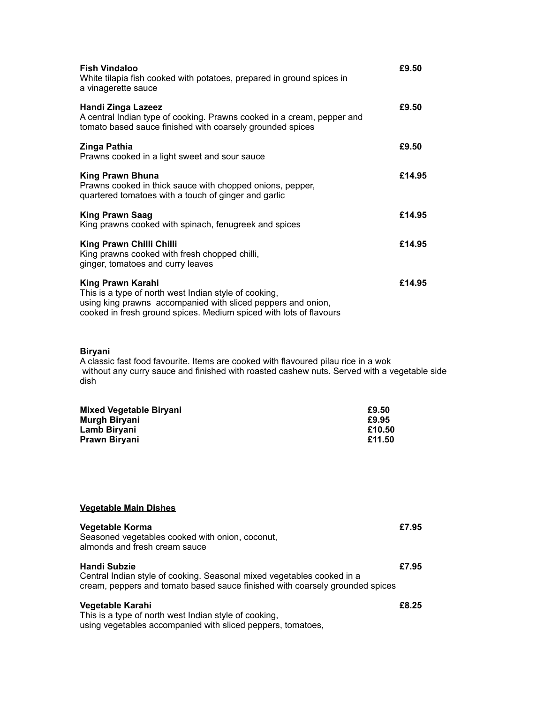| <b>Fish Vindaloo</b><br>White tilapia fish cooked with potatoes, prepared in ground spices in<br>a vinagerette sauce                                                                                             | £9.50  |
|------------------------------------------------------------------------------------------------------------------------------------------------------------------------------------------------------------------|--------|
| <b>Handi Zinga Lazeez</b><br>A central Indian type of cooking. Prawns cooked in a cream, pepper and<br>tomato based sauce finished with coarsely grounded spices                                                 | £9.50  |
| Zinga Pathia<br>Prawns cooked in a light sweet and sour sauce                                                                                                                                                    | £9.50  |
| King Prawn Bhuna<br>Prawns cooked in thick sauce with chopped onions, pepper,<br>quartered tomatoes with a touch of ginger and garlic                                                                            | £14.95 |
| <b>King Prawn Saag</b><br>King prawns cooked with spinach, fenugreek and spices                                                                                                                                  | £14.95 |
| King Prawn Chilli Chilli<br>King prawns cooked with fresh chopped chilli,<br>ginger, tomatoes and curry leaves                                                                                                   | £14.95 |
| King Prawn Karahi<br>This is a type of north west Indian style of cooking,<br>using king prawns accompanied with sliced peppers and onion,<br>cooked in fresh ground spices. Medium spiced with lots of flavours | £14.95 |

#### **Biryani**

A classic fast food favourite. Items are cooked with flavoured pilau rice in a wok without any curry sauce and finished with roasted cashew nuts. Served with a vegetable side dish

| Mixed Vegetable Biryani | £9.50  |
|-------------------------|--------|
| Murgh Biryani           | £9.95  |
| Lamb Biryani            | £10.50 |
| Prawn Biryani           | £11.50 |

| Vegetable Main Dishes |
|-----------------------|
|-----------------------|

| <b>Vegetable Korma</b><br>Seasoned vegetables cooked with onion, coconut,<br>almonds and fresh cream sauce                                                                    | £7.95 |
|-------------------------------------------------------------------------------------------------------------------------------------------------------------------------------|-------|
| <b>Handi Subzie</b><br>Central Indian style of cooking. Seasonal mixed vegetables cooked in a<br>cream, peppers and tomato based sauce finished with coarsely grounded spices | £7.95 |
| Vegetable Karahi<br>This is a tune of neath weet lealize at deal anglica                                                                                                      | £8.25 |

This is a type of north west Indian style of cooking, using vegetables accompanied with sliced peppers, tomatoes,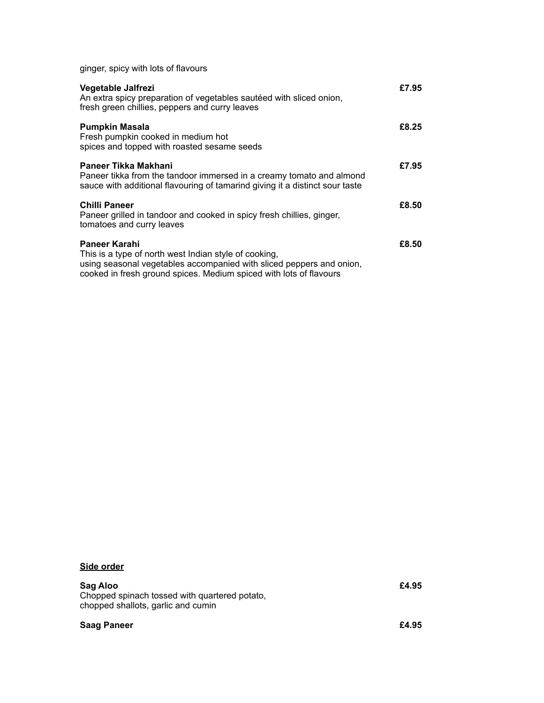ginger, spicy with lots of flavours

| Vegetable Jalfrezi<br>An extra spicy preparation of vegetables sautéed with sliced onion,<br>fresh green chillies, peppers and curry leaves                                                                          | £7.95 |
|----------------------------------------------------------------------------------------------------------------------------------------------------------------------------------------------------------------------|-------|
| <b>Pumpkin Masala</b><br>Fresh pumpkin cooked in medium hot<br>spices and topped with roasted sesame seeds                                                                                                           | £8.25 |
| Paneer Tikka Makhani<br>Paneer tikka from the tandoor immersed in a creamy tomato and almond<br>sauce with additional flavouring of tamarind giving it a distinct sour taste                                         | £7.95 |
| <b>Chilli Paneer</b><br>Paneer grilled in tandoor and cooked in spicy fresh chillies, ginger,<br>tomatoes and curry leaves                                                                                           | £8.50 |
| Paneer Karahi<br>This is a type of north west Indian style of cooking,<br>using seasonal vegetables accompanied with sliced peppers and onion,<br>cooked in fresh ground spices. Medium spiced with lots of flavours | £8.50 |

## **Side order**

#### **Sag Aloo £4.95**

Chopped spinach tossed with quartered potato, chopped shallots, garlic and cumin

#### **Saag Paneer** <br> **E4.95**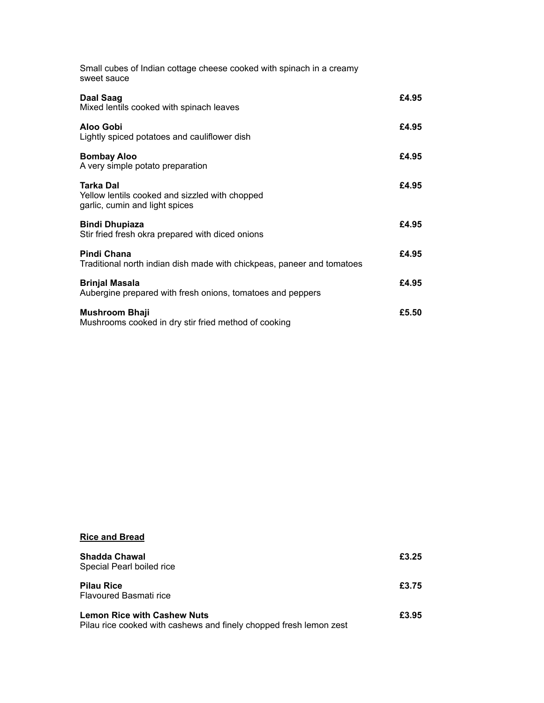| Small cubes of Indian cottage cheese cooked with spinach in a creamy<br>sweet sauce           |       |
|-----------------------------------------------------------------------------------------------|-------|
| Daal Saag<br>Mixed lentils cooked with spinach leaves                                         | £4.95 |
| Aloo Gobi<br>Lightly spiced potatoes and cauliflower dish                                     | £4.95 |
| <b>Bombay Aloo</b><br>A very simple potato preparation                                        | £4.95 |
| Tarka Dal<br>Yellow lentils cooked and sizzled with chopped<br>garlic, cumin and light spices | £4.95 |
| <b>Bindi Dhupiaza</b><br>Stir fried fresh okra prepared with diced onions                     | £4.95 |
| <b>Pindi Chana</b><br>Traditional north indian dish made with chickpeas, paneer and tomatoes  | £4.95 |
| <b>Brinjal Masala</b><br>Aubergine prepared with fresh onions, tomatoes and peppers           | £4.95 |
| <b>Mushroom Bhaji</b><br>Mushrooms cooked in dry stir fried method of cooking                 | £5.50 |
|                                                                                               |       |

# **Rice and Bread**

| <b>Shadda Chawal</b><br>Special Pearl boiled rice                                                        | £3.25 |
|----------------------------------------------------------------------------------------------------------|-------|
| <b>Pilau Rice</b><br>Flavoured Basmati rice                                                              | £3.75 |
| <b>Lemon Rice with Cashew Nuts</b><br>Pilau rice cooked with cashews and finely chopped fresh lemon zest | £3.95 |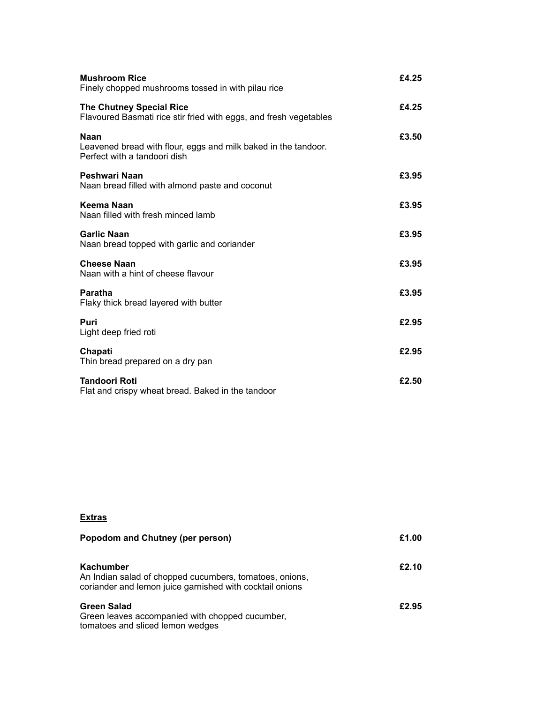| <b>Mushroom Rice</b><br>Finely chopped mushrooms tossed in with pilau rice                                    | £4.25 |
|---------------------------------------------------------------------------------------------------------------|-------|
| <b>The Chutney Special Rice</b><br>Flavoured Basmati rice stir fried with eggs, and fresh vegetables          | £4.25 |
| <b>Naan</b><br>Leavened bread with flour, eggs and milk baked in the tandoor.<br>Perfect with a tandoori dish | £3.50 |
| Peshwari Naan<br>Naan bread filled with almond paste and coconut                                              | £3.95 |
| Keema Naan<br>Naan filled with fresh minced lamb                                                              | £3.95 |
| <b>Garlic Naan</b><br>Naan bread topped with garlic and coriander                                             | £3.95 |
| <b>Cheese Naan</b><br>Naan with a hint of cheese flavour                                                      | £3.95 |
| Paratha<br>Flaky thick bread layered with butter                                                              | £3.95 |
| Puri<br>Light deep fried roti                                                                                 | £2.95 |
| Chapati<br>Thin bread prepared on a dry pan                                                                   | £2.95 |
| <b>Tandoori Roti</b><br>Flat and crispy wheat bread. Baked in the tandoor                                     | £2.50 |

# **Extras**

| Popodom and Chutney (per person)                                                                                                 | £1.00 |
|----------------------------------------------------------------------------------------------------------------------------------|-------|
| Kachumber<br>An Indian salad of chopped cucumbers, tomatoes, onions,<br>coriander and lemon juice garnished with cocktail onions | £2.10 |
| <b>Green Salad</b><br>Green leaves accompanied with chopped cucumber,<br>tomatoes and sliced lemon wedges                        | £2.95 |